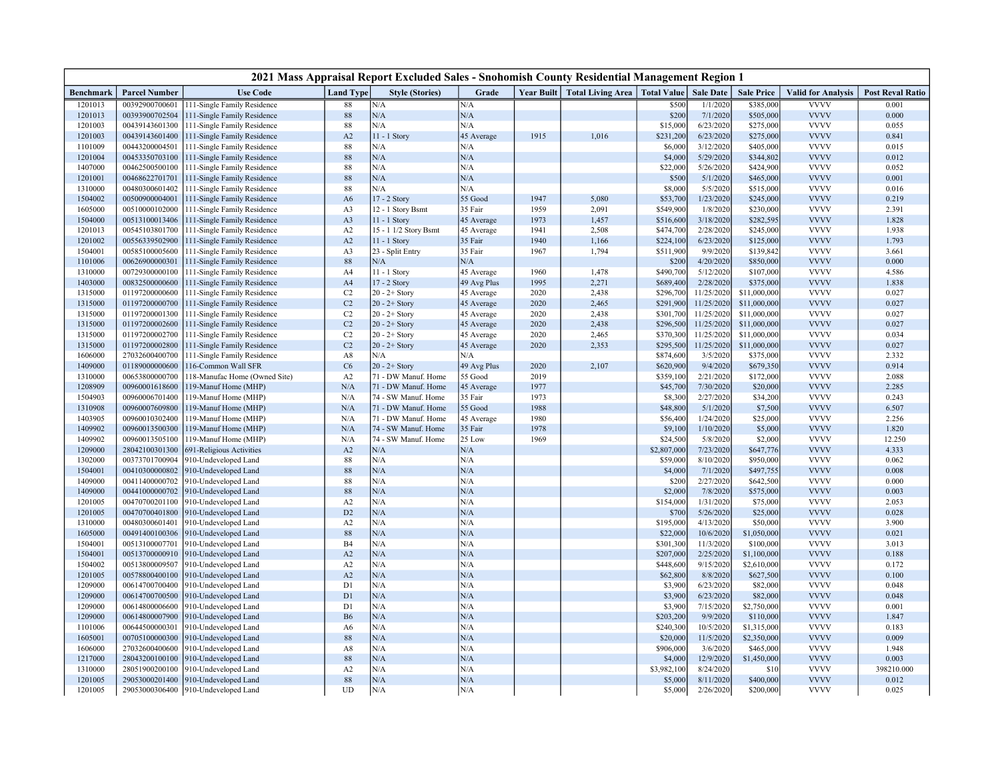| 2021 Mass Appraisal Report Excluded Sales - Snohomish County Residential Management Region 1 |                                  |                                                            |                                  |                                      |                          |              |                                 |                        |                          |                              |                            |                         |
|----------------------------------------------------------------------------------------------|----------------------------------|------------------------------------------------------------|----------------------------------|--------------------------------------|--------------------------|--------------|---------------------------------|------------------------|--------------------------|------------------------------|----------------------------|-------------------------|
| <b>Benchmark</b>                                                                             | <b>Parcel Number</b>             | <b>Use Code</b>                                            | <b>Land Type</b>                 | <b>Style (Stories)</b>               | Grade                    | Year Built   | Total Living Area   Total Value |                        | <b>Sale Date</b>         | <b>Sale Price</b>            | <b>Valid for Analysis</b>  | <b>Post Reval Ratio</b> |
| 1201013                                                                                      | 00392900700601                   | 111-Single Family Residence                                | 88                               | N/A                                  | N/A                      |              |                                 | \$500                  | 1/1/2020                 | \$385,000                    | <b>VVVV</b>                | 0.001                   |
| 1201013                                                                                      | 00393900702504                   | 111-Single Family Residence                                | $88\,$                           | ${\rm N/A}$                          | N/A                      |              |                                 | \$200                  | 7/1/2020                 | \$505,000                    | <b>VVVV</b>                | 0.000                   |
| 1201003                                                                                      | 00439143601300                   | 111-Single Family Residence                                | 88                               | N/A                                  | N/A                      |              |                                 | \$15,000               | 6/23/2020                | \$275,000                    | <b>VVVV</b>                | 0.055                   |
| 1201003                                                                                      | 00439143601400                   | 111-Single Family Residence                                | A2                               | 11 - 1 Story                         | 45 Average               | 1915         | 1,016                           | \$231,200              | 6/23/2020                | \$275,000                    | <b>VVVV</b>                | 0.841                   |
| 1101009                                                                                      | 00443200004501                   | 111-Single Family Residence                                | 88                               | N/A<br>N/A                           | N/A<br>N/A               |              |                                 | \$6,000                | 3/12/2020<br>5/29/2020   | \$405,000                    | <b>VVVV</b><br><b>VVVV</b> | 0.015                   |
| 1201004<br>1407000                                                                           | 00453350703100<br>00462500500100 | 111-Single Family Residence<br>111-Single Family Residence | 88<br>88                         | N/A                                  | N/A                      |              |                                 | \$4,000<br>\$22,000    | 5/26/2020                | \$344,802<br>\$424,900       | <b>VVVV</b>                | 0.012<br>0.052          |
| 1201001                                                                                      | 00468622701701                   | 111-Single Family Residence                                | 88                               | N/A                                  | N/A                      |              |                                 | \$500                  | 5/1/2020                 | \$465,000                    | <b>VVVV</b>                | 0.001                   |
| 1310000                                                                                      | 00480300601402                   | 111-Single Family Residence                                | 88                               | N/A                                  | N/A                      |              |                                 | \$8,000                | 5/5/2020                 | \$515,000                    | <b>VVVV</b>                | 0.016                   |
| 1504002                                                                                      | 00500900004001                   | 111-Single Family Residence                                | A6                               | 17 - 2 Story                         | 55 Good                  | 1947         | 5,080                           | \$53,700               | 1/23/2020                | \$245,000                    | <b>VVVV</b>                | 0.219                   |
| 1605000                                                                                      | 00510000102000                   | 111-Single Family Residence                                | A <sub>3</sub>                   | 12 - 1 Story Bsmt                    | 35 Fair                  | 1959         | 2,091                           | \$549,900              | 1/8/2020                 | \$230,000                    | <b>VVVV</b>                | 2.391                   |
| 1504000                                                                                      | 00513100013406                   | 111-Single Family Residence                                | A <sub>3</sub>                   | $11 - 1$ Story                       | 45 Average               | 1973         | 1,457                           | \$516,600              | 3/18/2020                | \$282,595                    | <b>VVVV</b>                | 1.828                   |
| 1201013                                                                                      | 00545103801700                   | 111-Single Family Residence                                | A2                               | 15 - 1 1/2 Story Bsmt                | 45 Average               | 1941         | 2,508                           | \$474,700              | 2/28/2020                | \$245,000                    | <b>VVVV</b>                | 1.938                   |
| 1201002                                                                                      | 00556339502900                   | 111-Single Family Residence                                | A2                               | 11 - 1 Story                         | 35 Fair                  | 1940         | 1,166                           | \$224,100              | 6/23/2020                | \$125,000                    | <b>VVVV</b>                | 1.793                   |
| 1504001                                                                                      | 00585100005600                   | 111-Single Family Residence                                | A <sub>3</sub>                   | 23 - Split Entry                     | 35 Fair                  | 1967         | 1,794                           | \$511,900              | 9/9/2020                 | \$139,842                    | <b>VVVV</b>                | 3.661                   |
| 1101006                                                                                      | 00626900000301                   | 111-Single Family Residence                                | 88                               | N/A                                  | $\rm N/A$                |              |                                 | \$200                  | 4/20/2020                | \$850,000                    | <b>VVVV</b>                | 0.000                   |
| 1310000                                                                                      | 00729300000100                   | 111-Single Family Residence                                | A4                               | 11 - 1 Story                         | 45 Average               | 1960         | 1,478                           | \$490,700              | 5/12/2020                | \$107,000                    | <b>VVVV</b>                | 4.586                   |
| 1403000                                                                                      | 00832500000600                   | 111-Single Family Residence                                | A <sub>4</sub>                   | 17 - 2 Story                         | 49 Avg Plus              | 1995         | 2,271                           | \$689,400              | 2/28/2020                | \$375,000                    | <b>VVVV</b>                | 1.838                   |
| 1315000                                                                                      | 01197200000600                   | 111-Single Family Residence                                | C <sub>2</sub>                   | $20 - 2 +$ Story                     | 45 Average               | 2020         | 2,438                           | \$296,700              | 11/25/2020               | \$11,000,000                 | <b>VVVV</b>                | 0.027                   |
| 1315000                                                                                      | 01197200000700                   | 111-Single Family Residence                                | C <sub>2</sub>                   | $20 - 2 +$ Story                     | 45 Average               | 2020         | 2,465                           | \$291,900              | 11/25/2020               | \$11,000,000                 | <b>VVVV</b>                | 0.027                   |
| 1315000                                                                                      | 01197200001300                   | 111-Single Family Residence                                | C <sub>2</sub>                   | $20 - 2 +$ Story                     | 45 Average               | 2020         | 2,438                           | \$301,700              | 11/25/2020<br>11/25/2020 | \$11,000,000<br>\$11,000,000 | <b>VVVV</b><br><b>VVVV</b> | 0.027                   |
| 1315000<br>1315000                                                                           | 01197200002600<br>01197200002700 | 111-Single Family Residence<br>111-Single Family Residence | C <sub>2</sub><br>C <sub>2</sub> | $20 - 2 +$ Story<br>$20 - 2 +$ Story | 45 Average<br>45 Average | 2020<br>2020 | 2,438<br>2,465                  | \$296,500<br>\$370,300 | 11/25/2020               | \$11,000,000                 | <b>VVVV</b>                | 0.027<br>0.034          |
| 1315000                                                                                      | 01197200002800                   | 111-Single Family Residence                                | C <sub>2</sub>                   | $20 - 2 +$ Story                     | 45 Average               | 2020         | 2,353                           | \$295,500              | 11/25/2020               | \$11,000,000                 | <b>VVVV</b>                | 0.027                   |
| 1606000                                                                                      | 27032600400700                   | 111-Single Family Residence                                | A8                               | N/A                                  | N/A                      |              |                                 | \$874,600              | 3/5/2020                 | \$375,000                    | <b>VVVV</b>                | 2.332                   |
| 1409000                                                                                      | 01189000000600                   | 116-Common Wall SFR                                        | C6                               | $20 - 2 +$ Story                     | 49 Avg Plus              | 2020         | 2,107                           | \$620,900              | 9/4/2020                 | \$679,350                    | <b>VVVV</b>                | 0.914                   |
| 1310000                                                                                      | 00653800000700                   | 118-Manufac Home (Owned Site)                              | A <sub>2</sub>                   | 71 - DW Manuf. Home                  | 55 Good                  | 2019         |                                 | \$359,100              | 2/21/2020                | \$172,000                    | <b>VVVV</b>                | 2.088                   |
| 1208909                                                                                      | 00960001618600                   | 119-Manuf Home (MHP)                                       | N/A                              | 71 - DW Manuf. Home                  | 45 Average               | 1977         |                                 | \$45,700               | 7/30/2020                | \$20,000                     | <b>VVVV</b>                | 2.285                   |
| 1504903                                                                                      | 00960006701400                   | 119-Manuf Home (MHP)                                       | N/A                              | 74 - SW Manuf. Home                  | 35 Fair                  | 1973         |                                 | \$8,300                | 2/27/2020                | \$34,200                     | <b>VVVV</b>                | 0.243                   |
| 1310908                                                                                      | 00960007609800                   | 19-Manuf Home (MHP)                                        | N/A                              | 71 - DW Manuf. Home                  | 55 Good                  | 1988         |                                 | \$48,800               | 5/1/2020                 | \$7,500                      | <b>VVVV</b>                | 6.507                   |
| 1403905                                                                                      | 00960010302400                   | 119-Manuf Home (MHP)                                       | N/A                              | 71 - DW Manuf. Home                  | 45 Average               | 1980         |                                 | \$56,400               | 1/24/2020                | \$25,000                     | <b>VVVV</b>                | 2.256                   |
| 1409902                                                                                      | 00960013500300                   | 119-Manuf Home (MHP)                                       | N/A                              | 74 - SW Manuf. Home                  | 35 Fair                  | 1978         |                                 | \$9,100                | 1/10/2020                | \$5,000                      | <b>VVVV</b>                | 1.820                   |
| 1409902                                                                                      | 00960013505100                   | 119-Manuf Home (MHP)                                       | N/A                              | 74 - SW Manuf. Home                  | 25 Low                   | 1969         |                                 | \$24,500               | 5/8/2020                 | \$2,000                      | <b>VVVV</b>                | 12.250                  |
| 1209000                                                                                      | 28042100301300                   | 691-Religious Activities                                   | A2                               | N/A                                  | N/A                      |              |                                 | \$2,807,000            | 7/23/2020                | \$647,776                    | <b>VVVV</b>                | 4.333                   |
| 1302000                                                                                      | 00373701700904                   | 910-Undeveloped Land                                       | 88                               | N/A                                  | N/A                      |              |                                 | \$59,000               | 8/10/2020                | \$950,000                    | <b>VVVV</b>                | 0.062                   |
| 1504001                                                                                      | 00410300000802                   | 910-Undeveloped Land                                       | 88                               | N/A<br>N/A                           | N/A                      |              |                                 | \$4,000                | 7/1/2020                 | \$497,755                    | <b>VVVV</b><br><b>VVVV</b> | 0.008                   |
| 1409000<br>1409000                                                                           | 00411400000702<br>00441000000702 | 910-Undeveloped Land<br>910-Undeveloped Land               | 88<br>88                         | N/A                                  | N/A<br>N/A               |              |                                 | \$200<br>\$2,000       | 2/27/2020<br>7/8/2020    | \$642,500<br>\$575,000       | <b>VVVV</b>                | 0.000<br>0.003          |
| 1201005                                                                                      | 00470700201100                   | 910-Undeveloped Land                                       | A <sub>2</sub>                   | N/A                                  | N/A                      |              |                                 | \$154,000              | 1/31/2020                | \$75,000                     | <b>VVVV</b>                | 2.053                   |
| 1201005                                                                                      | 00470700401800                   | 910-Undeveloped Land                                       | D2                               | N/A                                  | N/A                      |              |                                 | \$700                  | 5/26/2020                | \$25,000                     | <b>VVVV</b>                | 0.028                   |
| 1310000                                                                                      | 00480300601401                   | 910-Undeveloped Land                                       | A2                               | N/A                                  | N/A                      |              |                                 | \$195,000              | 4/13/2020                | \$50,000                     | <b>VVVV</b>                | 3.900                   |
| 1605000                                                                                      | 00491400100306                   | 910-Undeveloped Land                                       | 88                               | N/A                                  | N/A                      |              |                                 | \$22,000               | 10/6/2020                | \$1,050,000                  | <b>VVVV</b>                | 0.021                   |
| 1504001                                                                                      | 00513100007701                   | 910-Undeveloped Land                                       | <b>B4</b>                        | N/A                                  | N/A                      |              |                                 | \$301,300              | 11/3/2020                | \$100,000                    | <b>VVVV</b>                | 3.013                   |
| 1504001                                                                                      | 00513700000910                   | 910-Undeveloped Land                                       | A2                               | N/A                                  | N/A                      |              |                                 | \$207,000              | 2/25/2020                | \$1,100,000                  | <b>VVVV</b>                | 0.188                   |
| 1504002                                                                                      | 00513800009507                   | 910-Undeveloped Land                                       | A2                               | N/A                                  | N/A                      |              |                                 | \$448,600              | 9/15/2020                | \$2,610,000                  | <b>VVVV</b>                | 0.172                   |
| 1201005                                                                                      | 00578800400100                   | 910-Undeveloped Land                                       | A2                               | N/A                                  | N/A                      |              |                                 | \$62,800               | 8/8/2020                 | \$627,500                    | <b>VVVV</b>                | 0.100                   |
| 1209000                                                                                      | 00614700700400                   | 910-Undeveloped Land                                       | D1                               | N/A                                  | N/A                      |              |                                 | \$3,900                | 6/23/2020                | \$82,000                     | <b>VVVV</b>                | 0.048                   |
| 1209000                                                                                      | 00614700700500                   | 910-Undeveloped Land                                       | D1                               | N/A                                  | N/A                      |              |                                 | \$3,900                | 6/23/2020                | \$82,000                     | <b>VVVV</b>                | 0.048                   |
| 1209000                                                                                      | 00614800006600                   | 910-Undeveloped Land                                       | D1                               | N/A                                  | N/A                      |              |                                 | \$3,900                | 7/15/2020                | \$2,750,000                  | <b>VVVV</b>                | 0.001                   |
| 1209000                                                                                      | 00614800007900                   | 910-Undeveloped Land                                       | <b>B6</b>                        | N/A                                  | N/A                      |              |                                 | \$203,200              | 9/9/2020                 | \$110,000                    | <b>VVVV</b>                | 1.847                   |
| 1101006                                                                                      | 00644500000301                   | 910-Undeveloped Land                                       | A <sub>6</sub>                   | N/A                                  | N/A                      |              |                                 | \$240,300              | 10/5/2020                | \$1,315,000                  | <b>VVVV</b>                | 0.183                   |
| 1605001                                                                                      | 00705100000300                   | 910-Undeveloped Land                                       | 88                               | N/A                                  | N/A                      |              |                                 | \$20,000               | 11/5/2020                | \$2,350,000                  | <b>VVVV</b>                | 0.009                   |
| 1606000                                                                                      | 27032600400600                   | 910-Undeveloped Land                                       | A8                               | N/A                                  | N/A                      |              |                                 | \$906,000              | 3/6/2020                 | \$465,000                    | <b>VVVV</b>                | 1.948                   |
| 1217000<br>1310000                                                                           | 28043200100100<br>28051900200100 | 910-Undeveloped Land<br>910-Undeveloped Land               | 88<br>A <sub>2</sub>             | N/A<br>N/A                           | N/A<br>N/A               |              |                                 | \$4,000<br>\$3,982,100 | 12/9/2020<br>8/24/2020   | \$1,450,000<br>\$10          | <b>VVVV</b><br><b>VVVV</b> | 0.003<br>398210.000     |
| 1201005                                                                                      | 29053000201400                   | 910-Undeveloped Land                                       | 88                               | N/A                                  | N/A                      |              |                                 | \$5,000                | 8/11/2020                | \$400,000                    | <b>VVVV</b>                | 0.012                   |
| 1201005                                                                                      | 29053000306400                   | 910-Undeveloped Land                                       | UD                               | N/A                                  | N/A                      |              |                                 | \$5,000                | 2/26/2020                | \$200,000                    | <b>VVVV</b>                | 0.025                   |